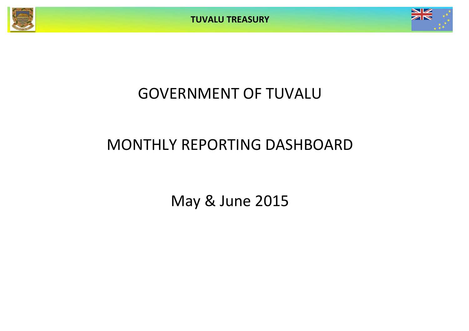**TUVALU TREASURY**



# GOVERNMENT OF TUVALU

# MONTHLY REPORTING DASHBOARD

May & June 2015

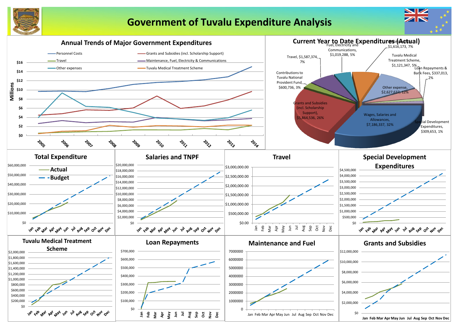

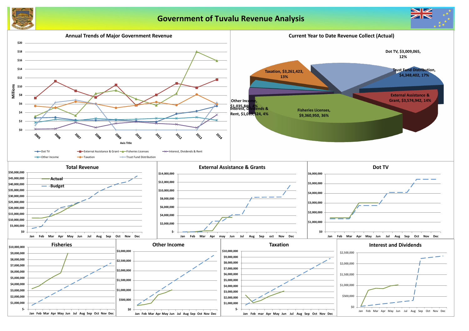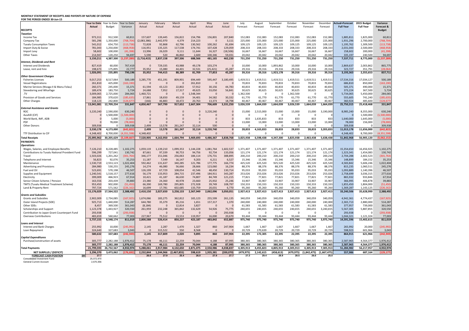### **MONTHLY STATEMENT OF RECEIPTS AND PAYENTS BY NATURE OF EXPENSE**

**FOR THE PERIOD ENDED 30-Jun-15 Year to Date** Year to Date Canuary February March April May June July August September Actual **Actual** Budget Variance Actual Actual Actual Actual Actual Actual Forecast Forecast Forecast Forecast Forecast Forecast **Full Year Full Year Forecast & RECEIPTS Budget** *Taxation* Income Tax 973,311 912,500 60,811 157,607 139,445 156,822 154,796 156,801 207,840 152,083 152,083 152,083 152,083 152,083 152,083 1,885,811 1,825,000 60,811 Company Tax 581,296 1,350,000 (768,704) (2,083,386) 2,442,970 4,379 214,223 0 3,111 225,000 225,000 225,000 225,000 225,000 225,000 1,931,296 2,700,000 (768,704) Tuvalu Consumption Taxes 541,012 654,750 (113,738)| 72,828 92,868 62,796 100,262 81,694 109,125 109,125 109,125 109,125 109,125 109,125 1,195,762 1,309,500 (113,738) Import Duty & Excise 781,043 1,250,000 (468,958) 116,951 135,325 117,538 174,741 107,428 129,059 208,333 208,333 208,333 208,333 208,333 208,333 208,333 2,031,043 2,500,000 (468,958) Import Levy 58,602 100,000 (41,398) 13,996 26,029 9,111 11,644 16,327 (18,506) 16,667 16,667 16,667 16,667 16,667 16,667 158,602 200,000 (41,398) Other Taxes 214,947 120,250 94,697 5,590 520 46,860 2,600 100,346 59,031 20,042 20,042 20,042 20,042 20,042 20,042 335,197 240,500 94,697 3,150,211 4,387,500 (1,237,289)| (1,716,415) 2,837,158 397,506 688,566 481,165 462,230 731,250 731,250 731,250 731,250 731,250 731,250 731,250 7537,711 8,775,000 (1,237,289) *Interest, Dividends and Rent* Interest and Dividends 827,419 60,000 767,419 0 729,335 49,178 103,274 0 10,000 1,893,862 10,000 10,000 10,000 10,000 2,869,637 2,003,862 865,775 Lease, rent and hire 198,673 175,895 22,777 35,952 15,080 44,401 32,531 (25,421) 45,287 29,316 29,316 29,316 29,316 29,316 29,316 323,727 351,791 (28,064) 1,026,091 235,895 790,196| 35,952 744,415 88,389 81,709 77,853 45,287 39,316 39,316 1,923,178 39,316 39,316 39,316 3,193,363 2,355,653 837,711 *Other Government Charges* Fisheries Licenses 9,017,253 8,517,064 500,189 3,285,770 451,191 809,901 694,449 595,447 3,180,495 1,419,511 1,419,511 1,419,511 1,419,511 1,419,511 1,419,511 17,534,316 17,034,127 500,189 Vessel Registrations 261,810 425,000 (163,190) 0 0 0 261,810 0 0 70,833 70,833 70,833 70,833 70,833 70,833 686,810 850,000 (163,190) Marine Services (Nivaga II & Manu Folau) 260,371 245,000 15,371 61,594 43,123 22,802 57,912 30,156 44,783 40,833 40<br>Stevedoring and Wharfage 30,625 189,474 183,750 5,724 24,688 7,952 17,317 49,625 33,050 56,841 30,625 30 Stevedoring and Wharfage 189,474 183,750 5,724 24,688 7,952 17,317 49,625 33,050 56,841 30,625 30,625 30,625 30,625 30,625 30,625 373,224 373,224 367,500 5,724 .TV 3,009,065 2,725,000 284,065| 1,460,721 0 1,548,344 0 1,362,500 0 0 5,734,065 5,450,000 284,065 Provision of Goods and Services 184,985 370,620 (185,635) 17,861 18,650 49,159 34,401 34,582 30,332 61,770 61,770 61,770 61,770 61,770 655,605 741,240 (185,635) Other Charges 2006,924 118,123 242,800 (124,677) (166) 46,883 18,472 20,763 13,373 18,798 40,467 40,467 40,467 40,467 40,467 40,467 360,924 485,600 (124,677) 13,041,081 12,709,234 331,847| 4,850,467 567,799 917,652 2,667,304 706,609 3,331,250 3,026,539 1,664,039 1,664,039 3,026,539 1,664,039 1,664,039 25,750,315 25,418,468 331,847 *External Assistance and Grants* ROC 3,220,240 2,590,000 630,240 0 0 0 0 3,220,240 0 15,000 15,000 15,000 15,000 15,000 15,000 15,000 3,190,000 8,985,240 8,355,000 630,240 AusAID (CIF) 0 1,500,000 (1,500,000) 0 0 0 0 0 0 0 0 0 0 0 0 0 1,500,000 (1,500,000) World Bank, IMF, ADB 0 5,000 (5,000) 0 0 0 0 0 0 833 1,635,833 833 833 833 833 1,640,000 1,645,000 (5,000) PDF 0 78,000 (78,000) 0 0 0 0 0 0 13,000 13,000 13,000 13,000 13,000 13,000 78,000 156,000 (78,000) Other Donors 309,938 0 309,938 2,499 13,578 261,247 32,114 500 0 0 0 0 0 0 0 309,938 0 309,938 3,530,178 4,173,000 (642,822)| 2,499 13,578 261,247 32,114 3,220,740 0 28,833 4,163,833 28,833 28,833 3,203,833| 11,013,178 11,656,000 (642,822) TTF Distribution to CIF 4,348,402 8,700,000 (4,351,598) 4,348,402 0 0 0 0 0 0 0 0 0 0 0 4,348,402 8,700,000 (4,351,598) Total Receipts **1988 1898 1898 1898 1899 1898 1899 1898 1899 1898 1899 1899 1899 1899 1899 1899 1899 1808 1809 180 PAYMENTS** *Operations* Wages, Salaries, and Employee Benefits 1,126,210 8,228,485 1,102,275 1,059,119 1,139,210 1,099,353 1,144,228 1,081,764 1,602,537 1,371,407 1,371,407 Contributions to Tuvalu National Provident Fund | 596,299 727,041 130,742 87,661 97,339 90,753 94,756 92,734 133,056 121,174 121 Travel 1,503,026 1,201,262 (301,764) 346,177 151,046 256,063 184,114 176,731 388,895 200,210 200,210 200,210 200,210 200,210 200,210 2,704,288 2,402,523 (301,764) Telephone and Internet 56,823 92,076 35,253| 11,187 7,549 16,147 9,203 6,211 6,527 15,346 15,346 15,346 15,346 148,899 184,152 35,253 Maintenance 1,530,719 2,553,123 1,022,404 592,462 131,637 340,285 121,786 177,775 166,774 425,520 425,520 925,520 425,520 425,520 425,520 4,583,842 5,606,246 1,022,404 Advertising and Provisions 284,980 530,255 245,276 14,274 46,080 56,666 28,666 123,060 16,234 88,376 88,376 88,376 88,376 88,376 815,235 1,060,511 245,276 Fuel and Oil 523,691 570,198 46,507 126,199 67,729 108,054 42,546 48,450 130,714 95,033 95,033 95,033 95,033 95,033 95,033 1,093,889 1,140,396 46,507 Supplies and Equipment 1,240,541 1,518,157 277,616 56,179 133,953 284,715 237,496 184,911 343,287 253,026 253,026 253,026 253,026 253,026 253,026 2,758,699 3,036,315 277,616 Electricity 399,009 466,923 67,914 10,421 41,187 66,630 74,807 84,749 121,215 77,821 77,821 77,821 77,821 77,821 77,821 865,932 933,846 67,914 Senior Citizen Scheme / Pension 163,556 203,439 39,883 23,380 24,360 40,978 23,660 25,932 25,246 33,907 33,907 33,907 33,907 33,907 33,907 366,995 406,878 39,883 TMTS (Tuvalu Medical Treatment Scheme) 953,450 902,000 (51,450) 66,390 169,780 295,805 272,928 39,749 108,797 150,333 150,333 150,333 150,333 150,333 150,333 1,855,450 1,804,000 (51,450) Land & Property Rent 797,724 571,562 (226,162)| 16,699 17,781 602,685 133,759 20,031 6,770 95,260 95,260 95,260 95,260 95,260 1,369,287 1,143,125 (226,162) 15,176,029 17,564,522 2,388,492 2,410,150 2,027,650 3,258,133 2,367,949 2,062,096 3,050,051 2,927,413 2,927,413 3,427,413 2,927,413 2,927,413 2,927,413 3,240,506 35,628,999 2,388,492 *Grants and Subsidies* Grants and Subsidies 2,002,009 2,734,085 (167,925) 1,674,066 183,275 362,812 165,123 255,599 261,135 340,059 340,059 340,059 340,059 340,059 4,942,361 4,774,437 (167,925) Outer Island Projects (SDE) 925,713 1,440,000 514,287 644,780 35,379 85,216 1,651 157,317 1,370 240,000 240,000 240,000 240,000 240,000 240,000 2,365,713 2,880,000 514,287 Other SDEs 3,457 361,043 (8,184) 0 12,814 3,827 0 61,583 61,583 61,583 61,583 61,583 61,583 377,957 739,000 361,043 Scholarships and Support 1,123,378 1,443,927 320,550 261,959 232,248 365,842 132,629 54,926 75,775 240,655 240,655 240,655 240,655 240,655 3,240,655 5,887,805 5,887,855 320,550 Contribution to Japan Grant Counterpart Fund 293,938 0 (293,938) 0 0 0 0 0 0 0 293,938 0 Overseas Contributions 483,659 560,662 77,003| 227,967 75,512 23,553 119,957 16,000 20,670 93,444 93,444 93,444 93,444 93,444 1,044,321 1,121,324 77,003 5,737,155 6,548,174 811,019 2,800,588 526,414 850,237 423,187 483,842 652,887 975,740 975,740 975,740 975,740 3,975,740 14,591,596 15,402,615 811,019 *Loans and Interest* Interest and Bank Charges 20,000 (200,000 (245,992) 2,145 2,287 1,470 1,327 860 247,904 1,667 1,667 1,667 1,667 1,667 1,667 265,992 20,000 (245,992) Loan Repayment 324,640 327,683 30,043 0 8,552 8,568 0 20,729 170,639 20,729 20,729 20,729 20,729 598,923 601,966 3,043 580,632 337,683 (242,949) 2,145 317,809 2,020 9,895 860 247,904 22,395 172,305 22,395 22,395 22,395 22,395 864,915 621,966 (242,949) *Capital Expenditures* Purchase/construction of assets 305,777 2,282,188 1,976,412 75,178 46,111 22,259 70,044 4,188 87,995 380,365 380,365 380,365 380,365 380,365 380,365 2,587,965 4,564,377 1,976,412 305,777 2,282,188 1,976,412| 75,178 46,111 22,259 70,044 4,188 87,995 380,365 380,365 380,365 380,365 380,365 380,365| 2,587,965 4,564,377 1,976,412 Total Payments 26,732,567 4,932,974 5,288,061 2,917,984 4,132,650 2,871,075 2,550,986 4,038,837 4,305,913 4,305,913 4,305,913 4,305,913 7,305,913 51,284,982 56,217,957 4,932, NET SURPLUS / (DEFICIT) 3,296,370 3,473,062 (176,692)| 2,232,844 1,244,966 (2,467,855) 598,619 1,935,381 (200,070) (479,975) 2,142,615 (458,613) (479,975) (1,842,475) 557,475) 557,986 687,164 (1 **FORECAST CASH POSITION \$M 27.7 26.6 27.9 25.4 26.0 27.9 27.7 27.3 29.4 28.9 28.5 26.6 25.0** Consolidated Investment Fund 25,072,970

General Current Account 2,670,356

| ıst            | September               | October                 | November                 | December                 | <b>Actual+Forecast</b>  | 2015 Budget             | Variance                |
|----------------|-------------------------|-------------------------|--------------------------|--------------------------|-------------------------|-------------------------|-------------------------|
| ast            | Forecast                | Forecast                | Forecast                 | Forecast                 | <b>Full Year</b>        | <b>Full Year</b>        | Forecast &              |
|                |                         |                         |                          |                          |                         |                         | <b>Budget</b>           |
|                |                         |                         |                          |                          |                         |                         |                         |
| 2,083          | 152,083                 | 152,083                 | 152,083                  | 152,083                  | 1,885,811               | 1,825,000               | 60,811                  |
| 5,000          | 225,000                 | 225,000                 | 225,000                  | 225,000                  | 1,931,296               | 2,700,000               | (768, 704)              |
| 9,125          | 109,125                 | 109,125                 | 109,125                  | 109,125                  | 1,195,762               | 1,309,500               | (113, 738)              |
| 3,333          | 208,333                 | 208,333                 | 208,333                  | 208,333                  | 2,031,043               | 2,500,000               | (468, 958)              |
| 5,667          | 16,667                  | 16,667                  | 16,667                   | 16,667                   | 158,602                 | 200,000                 | (41, 398)               |
| ),042          | 20,042                  | 20,042                  | 20,042                   | 20,042                   | 335,197                 | 240,500                 | 94,697                  |
| l,250          | 731,250                 | 731,250                 | 731,250                  | 731,250                  | 7,537,711               | 8,775,000               | (1, 237, 289)           |
|                |                         |                         |                          |                          |                         |                         |                         |
| 0,000          | 1,893,862               | 10,000                  | 10,000                   | 10,000                   | 2,869,637               | 2,003,862               | 865,775                 |
| 9,316          | 29,316                  | 29,316                  | 29,316                   | 29,316                   | 323,727                 | 351,791                 | (28,064)                |
| 9,316          | 1,923,178               | 39,316                  | 39,316                   | 39,316                   | 3,193,363               | 2,355,653               | 837,711                 |
| 9,511          | 1,419,511               |                         | 1,419,511                | 1,419,511                |                         | 17,034,127              | 500,189                 |
| ),833          | 70,833                  | 1,419,511<br>70,833     | 70,833                   | 70,833                   | 17,534,316<br>686,810   | 850,000                 | (163, 190)              |
| ),833          | 40,833                  | 40,833                  | 40,833                   | 40,833                   | 505,371                 | 490,000                 | 15,371                  |
| ),625          | 30,625                  | 30,625                  | 30,625                   | 30,625                   | 373,224                 | 367,500                 | 5,724                   |
| 0              | 0                       | 1,362,500               | 0                        | 0                        | 5,734,065               | 5,450,000               | 284,065                 |
| l,770          | 61,770                  | 61,770                  | 61,770                   | 61,770                   | 555,605                 | 741,240                 | (185, 635)              |
| ),467          | 40,467                  | 40,467                  | 40,467                   | 40,467                   | 360,924                 | 485,600                 | (124, 677)              |
| 1,039          | 1,664,039               | 3,026,539               | 1,664,039                | 1,664,039                | 25,750,315              | 25,418,468              | 331,847                 |
|                |                         |                         |                          |                          |                         |                         |                         |
| 5,000          | 15,000                  | 15,000                  | 15,000                   | 3,190,000                | 8,985,240               | 8,355,000               | 630,240                 |
| 0              | 0                       | 0                       | 0                        | 0                        | 0                       | 1,500,000               | (1,500,000)             |
| 5,833          | 833                     | 833                     | 833                      | 833                      | 1,640,000               | 1,645,000               | (5,000)                 |
| 3,000          | 13,000                  | 13,000                  | 13,000                   | 13,000                   | 78,000                  | 156,000                 | (78,000)                |
| 0              | 0                       | 0                       | 0                        | $\overline{0}$           | 309,938                 | 0                       | 309,938                 |
| 3,833          | 28,833                  | 28,833                  | 28,833                   | 3,203,833                | 11,013,178              | 11,656,000              | (642, 822)              |
| 0              | 0                       | 0                       | 0                        | $\mathbf 0$              | 4,348,402               | 8,700,000               | (4,351,598)             |
| 3,438          | 4,347,300               | 3,825,938               | 2,463,438                | 5,638,438                | 51,842,968              | 56,905,120              | (5,062,152)             |
|                |                         |                         |                          |                          |                         |                         |                         |
|                |                         |                         |                          |                          |                         |                         |                         |
| L.407          | 1,371,407               | 1,371,407               | 1,371,407                | 1,371,407                | 15,354,650              | 16,456,925              | 1,102,275               |
| 1,174          | 121,174                 | 121,174                 | 121,174                  | 121,174                  | 1,323,341               | 1,454,083               | 130,742                 |
| ),210          | 200,210                 | 200,210                 | 200,210                  | 200,210                  | 2,704,288               | 2,402,523               | (301, 764)              |
| 5,346          | 15,346                  | 15,346                  | 15,346                   | 15,346                   | 148,899                 | 184,152                 | 35,253                  |
| 5,520          | 925,520                 | 425,520                 | 425,520                  | 425,520                  | 4,583,842               | 5,606,246               | 1,022,404               |
| 3,376          | 88,376                  | 88,376                  | 88,376                   | 88,376                   | 815,235                 | 1,060,511               | 245,276                 |
| 5,033          | 95,033                  | 95,033                  | 95,033                   | 95,033                   | 1,093,889               | 1,140,396               | 46,507                  |
| 3,026          | 253,026                 | 253,026                 | 253,026                  | 253,026                  | 2,758,699               | 3,036,315               | 277,616                 |
| 7,821          | 77,821                  | 77,821                  | 77,821                   | 77,821                   | 865,932                 | 933,846                 | 67,914                  |
| 3,907          | 33,907                  | 33,907                  | 33,907                   | 33,907                   | 366,995                 | 406,878                 | 39,883                  |
| ),333          | 150,333                 | 150,333                 | 150,333                  | 150,333                  | 1,855,450               | 1,804,000               | (51, 450)               |
| 5,260<br>7,413 | 95,260<br>3,427,413     | 95,260<br>2,927,413     | 95,260<br>2,927,413      | 95,260<br>2,927,413      | 1,369,287<br>33,240,506 | 1,143,125<br>35,628,999 | (226, 162)<br>2,388,492 |
|                |                         |                         |                          |                          |                         |                         |                         |
| 0,059          | 340,059                 | 340,059                 | 340,059                  | 340,059                  | 4,942,361               | 4,774,437               | (167, 925)              |
| 0,000          | 240,000                 | 240,000                 | 240,000                  | 240,000                  | 2,365,713               | 2,880,000               | 514,287                 |
| 1,583          | 61,583                  | 61,583                  | 61,583                   | 61,583                   | 377,957                 | 739,000                 | 361,043                 |
| 0,655          | 240,655                 | 240,655                 | 240,655                  | 3,240,655                | 5,567,305               | 5,887,855               | 320,550                 |
| 0              | 0                       | 0                       | 0                        | 0                        | 293,938                 | 0                       | (293, 938)              |
| 3,444          | 93,444                  | 93,444                  | 93,444                   | 93,444                   | 1,044,321               | 1,121,324               | 77,003                  |
| 5,740          | 975,740                 | 975,740                 | 975,740                  | 3,975,740                | 14,591,596              | 15,402,615              | 811,019                 |
|                |                         |                         |                          |                          |                         |                         |                         |
| 1,667          | 1,667                   | 1,667                   | 1,667                    | 1,667                    | 265,992                 | 20,000                  | (245, 992)              |
| 0,639          | 20,729                  | 20,729                  | 20,729                   | 20,729                   | 598,923                 | 601,966                 | 3,043                   |
| 2,305          | 22,395                  | 22,395                  | 22,395                   | 22,395                   | 864,915                 | 621,966                 | (242, 949)              |
|                |                         |                         |                          |                          |                         |                         |                         |
| ),365          | 380,365                 | 380,365                 | 380,365                  | 380,365                  | 2,587,965               | 4,564,377               | 1,976,412               |
| ),365          | 380,365                 | 380,365                 | 380,365                  | 380,365                  | 2,587,965               | 4,564,377               | 1,976,412               |
| 5,823          |                         |                         |                          |                          |                         |                         |                         |
| 2,615          | 4,805,913<br>(458, 613) | 4,305,913<br>(479, 975) | 4,305,913<br>(1,842,475) | 7,305,913<br>(1,667,475) | 51,284,982<br>557,986   | 56,217,957<br>687,164   | 4,932,974<br>(129, 177) |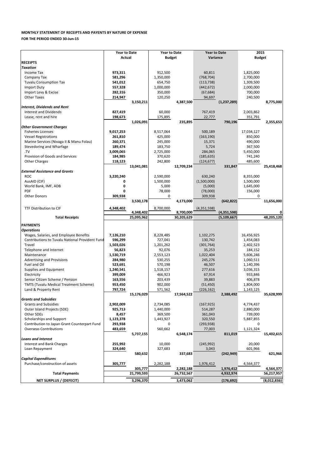| Purchase/construction of assets | 305.777    | 2,282,188  | 1,976,412  | 4.564.377   |
|---------------------------------|------------|------------|------------|-------------|
|                                 | 305,777    | 2.282.188  | 1,976,412  | 4,564,377   |
| <b>Total Payments</b>           | 21,799,593 | 26.732.567 | 4.932.974  | 56,217,957  |
| NET SURPLUS / (DEFECIT)         | 3,296,370  | 3.473.062  | (176, 692) | (8,012,836) |

|                                                        | <b>Year to Date</b> |            | <b>Year to Date</b> |            | <b>Year to Date</b> |               | 2015          |            |
|--------------------------------------------------------|---------------------|------------|---------------------|------------|---------------------|---------------|---------------|------------|
|                                                        | <b>Actual</b>       |            | <b>Budget</b>       |            | Variance            |               | <b>Budget</b> |            |
| <b>RECEIPTS</b>                                        |                     |            |                     |            |                     |               |               |            |
| <b>Taxation</b>                                        |                     |            |                     |            |                     |               |               |            |
| Income Tax                                             | 973,311             |            | 912,500             |            | 60,811              |               | 1,825,000     |            |
| Company Tax                                            | 581,296             |            | 1,350,000           |            | (768, 704)          |               | 2,700,000     |            |
| <b>Tuvalu Consumption Tax</b>                          | 541,012             |            | 654,750             |            | (113, 738)          |               | 1,309,500     |            |
| Import Duty                                            | 557,328             |            | 1,000,000           |            | (442, 672)          |               | 2,000,000     |            |
| Import Levy & Excise                                   | 282,316             |            | 350,000             |            | (67, 684)           |               | 700,000       |            |
| <b>Other Taxes</b>                                     | 214,947             |            | 120,250             |            | 94,697              |               | 240,500       |            |
|                                                        |                     | 3,150,211  |                     | 4,387,500  |                     | (1, 237, 289) |               | 8,775,000  |
| <b>Interest, Dividends and Rent</b>                    |                     |            |                     |            |                     |               |               |            |
| Interest and Dividends                                 | 827,419             |            | 60,000              |            | 767,419             |               | 2,003,862     |            |
| Lease, rent and hire                                   | 198,673             |            | 175,895             |            | 22,777              |               | 351,791       |            |
|                                                        |                     | 1,026,091  |                     | 235,895    |                     | 790,196       |               | 2,355,653  |
| <b>Other Government Charges</b>                        |                     |            |                     |            |                     |               |               |            |
| <b>Fisheries Licenses</b>                              | 9,017,253           |            | 8,517,064           |            | 500,189             |               | 17,034,127    |            |
| <b>Vessel Registrations</b>                            | 261,810             |            | 425,000             |            | (163, 190)          |               | 850,000       |            |
| Marine Services (Nivaga II & Manu Folau)               | 260,371             |            | 245,000             |            | 15,371              |               | 490,000       |            |
|                                                        | 189,474             |            |                     |            |                     |               |               |            |
| Stevedoring and Wharfage                               |                     |            | 183,750             |            | 5,724               |               | 367,500       |            |
| TV                                                     | 3,009,065           |            | 2,725,000           |            | 284,065             |               | 5,450,000     |            |
| Provision of Goods and Services                        | 184,985             |            | 370,620             |            | (185, 635)          |               | 741,240       |            |
| <b>Other Charges</b>                                   | 118,123             |            | 242,800             |            | (124, 677)          |               | 485,600       |            |
|                                                        |                     | 13,041,081 |                     | 12,709,234 |                     | 331,847       |               | 25,418,468 |
| <b>External Assistance and Grants</b>                  |                     |            |                     |            |                     |               |               |            |
| <b>ROC</b>                                             | 3,220,240           |            | 2,590,000           |            | 630,240             |               | 8,355,000     |            |
| AusAID (CIF)                                           | 0                   |            | 1,500,000           |            | (1,500,000)         |               | 1,500,000     |            |
| World Bank, IMF, ADB                                   | 0                   |            | 5,000               |            | (5,000)             |               | 1,645,000     |            |
| <b>PDF</b>                                             | 0                   |            | 78,000              |            | (78,000)            |               | 156,000       |            |
| <b>Other Donors</b>                                    | 309,938             |            | 0                   |            | 309,938             |               | 0             |            |
|                                                        |                     | 3,530,178  |                     | 4,173,000  |                     | (642, 822)    |               | 11,656,000 |
| TTF Distribution to CIF                                | 4,348,402           |            | 8,700,000           |            | (4,351,598)         |               |               |            |
|                                                        |                     | 4,348,402  |                     | 8,700,000  |                     | (4,351,598)   |               |            |
|                                                        |                     |            |                     |            |                     |               |               |            |
| <b>Total Receipts</b>                                  |                     | 25,095,962 |                     | 30,205,629 |                     | (5, 109, 667) |               | 48,205,120 |
|                                                        |                     |            |                     |            |                     |               |               |            |
| <b>PAYMENTS</b>                                        |                     |            |                     |            |                     |               |               |            |
| <b>Operations</b>                                      |                     |            |                     |            |                     |               |               |            |
| Wages, Salaries, and Employee Benefits                 | 7,126,210           |            | 8,228,485           |            | 1,102,275           |               | 16,456,925    |            |
| <b>Contributions to Tuvalu National Provident Fund</b> | 596,299             |            | 727,041             |            | 130,742             |               | 1,454,083     |            |
| Travel                                                 | 1,503,026           |            | 1,201,262           |            | (301, 764)          |               | 2,402,523     |            |
| Telephone and Internet                                 | 56,823              |            | 92,076              |            | 35,253              |               | 184,152       |            |
| Maintenance                                            | 1,530,719           |            | 2,553,123           |            | 1,022,404           |               | 5,606,246     |            |
| <b>Advertising and Provisions</b>                      | 284,980             |            | 530,255             |            | 245,276             |               | 1,060,511     |            |
| Fuel and Oil                                           | 523,691             |            | 570,198             |            | 46,507              |               | 1,140,396     |            |
| Supplies and Equipment                                 | 1,240,541           |            | 1,518,157           |            | 277,616             |               | 3,036,315     |            |
| Electricity                                            | 399,009             |            | 466,923             |            | 67,914              |               | 933,846       |            |
| Senior Citizen Scheme / Pension                        | 163,556             |            | 203,439             |            | 39,883              |               | 406,878       |            |
| <b>TMTS (Tuvalu Medical Treatment Scheme)</b>          | 953,450             |            | 902,000             |            | (51, 450)           |               | 1,804,000     |            |
| Land & Property Rent                                   | 797,724             |            | 571,562             |            | (226, 162)          |               | 1,143,125     |            |
|                                                        |                     | 15,176,029 |                     | 17,564,522 |                     | 2,388,492     |               | 35,628,999 |
| <b>Grants and Subsidies</b>                            |                     |            |                     |            |                     |               |               |            |
| <b>Grants and Subsidies</b>                            | 2,902,009           |            | 2,734,085           |            | (167, 925)          |               | 4,774,437     |            |
| Outer Island Projects (SDE)                            | 925,713             |            | 1,440,000           |            | 514,287             |               | 2,880,000     |            |
| Other SDEs                                             | 8,457               |            | 369,500             |            | 361,043             |               | 739,000       |            |
| Scholarships and Support                               | 1,123,378           |            | 1,443,927           |            | 320,550             |               | 5,887,855     |            |
| Contribution to Japan Grant Counterpart Fund           | 293,938             |            | 0                   |            | (293, 938)          |               | 0             |            |
| <b>Overseas Contributions</b>                          | 483,659             |            | 560,662             |            | 77,003              |               | 1,121,324     |            |
|                                                        |                     | 5,737,155  |                     | 6,548,174  |                     | 811,019       |               | 15,402,615 |
| <b>Loans and Interest</b>                              |                     |            |                     |            |                     |               |               |            |
| Interest and Bank Charges                              | 255,992             |            | 10,000              |            | (245, 992)          |               | 20,000        |            |
| Loan Repayment                                         | 324,640             |            | 327,683             |            | 3,043               |               | 601,966       |            |
|                                                        |                     | 580,632    |                     | 337,683    |                     | (242, 949)    |               | 621,966    |

## **MONTHLY STATEMENT OF RECEIPTS AND PAYENTS BY NATURE OF EXPENSE**

**FOR THE PERIOD ENDED 30-Jun-15**